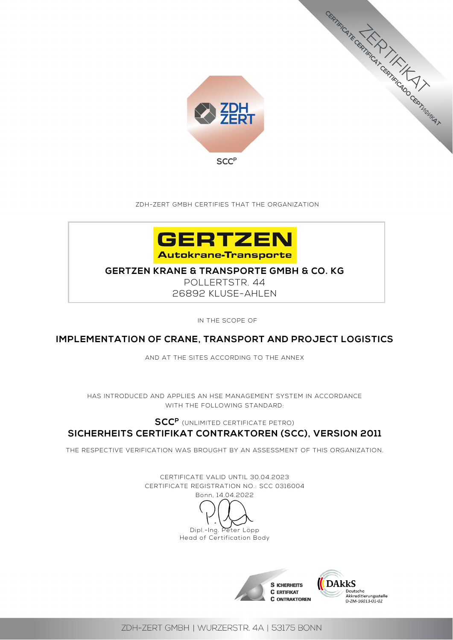

ZDH-ZERT GMBH CERTIFIES THAT THE ORGANIZATION



# **GERTZEN KRANE & TRANSPORTE GMBH & CO. KG**

POLLERTSTR. 44 26892 KLUSE-AHLEN

IN THE SCOPE OF

# **IMPLEMENTATION OF CRANE, TRANSPORT AND PROJECT LOGISTICS**

AND AT THE SITES ACCORDING TO THE ANNEX

HAS INTRODUCED AND APPLIES AN HSE MANAGEMENT SYSTEM IN ACCORDANCE WITH THE FOLLOWING STANDARD:

# **SCCP** (UNLIMITED CERTIFICATE PETRO) **SICHERHEITS CERTIFIKAT CONTRAKTOREN (SCC), VERSION 2011**

THE RESPECTIVE VERIFICATION WAS BROUGHT BY AN ASSESSMENT OF THIS ORGANIZATION.

CERTIFICATE VALID UNTIL 30.04.2023 CERTIFICATE REGISTRATION NO.: SCC 0316004 Bonn, 14.04.2022 Dipl.-Ing. Peter Löpp Head of Certification Body





ERTIFIC TE CERTIFICATION AND CERTIFICATION IN A